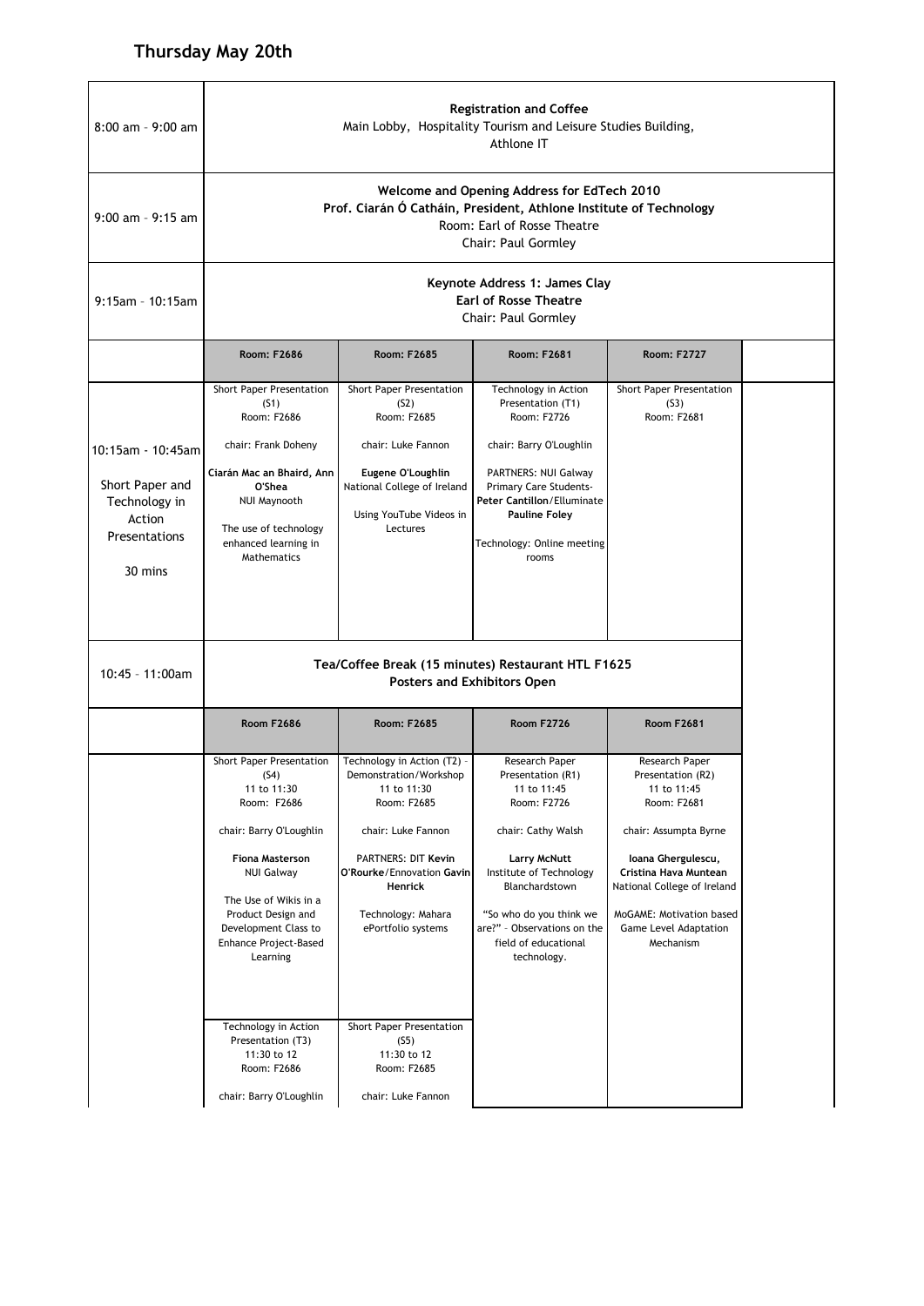| <b>Registration and Coffee</b><br>Main Lobby, Hospitality Tourism and Leisure Studies Building,<br>Athlone IT                                                                                                                                                                                                                   |                                                                                                                                                                                                                                                                         |                                                                                                                                                                                                                                                              |                                                                                                                                                                                                                                            |  |  |
|---------------------------------------------------------------------------------------------------------------------------------------------------------------------------------------------------------------------------------------------------------------------------------------------------------------------------------|-------------------------------------------------------------------------------------------------------------------------------------------------------------------------------------------------------------------------------------------------------------------------|--------------------------------------------------------------------------------------------------------------------------------------------------------------------------------------------------------------------------------------------------------------|--------------------------------------------------------------------------------------------------------------------------------------------------------------------------------------------------------------------------------------------|--|--|
| Welcome and Opening Address for EdTech 2010<br>Prof. Ciarán Ó Catháin, President, Athlone Institute of Technology<br>Room: Earl of Rosse Theatre<br>Chair: Paul Gormley                                                                                                                                                         |                                                                                                                                                                                                                                                                         |                                                                                                                                                                                                                                                              |                                                                                                                                                                                                                                            |  |  |
|                                                                                                                                                                                                                                                                                                                                 | Keynote Address 1: James Clay<br><b>Earl of Rosse Theatre</b><br><b>Chair: Paul Gormley</b>                                                                                                                                                                             |                                                                                                                                                                                                                                                              |                                                                                                                                                                                                                                            |  |  |
| Room: F2686                                                                                                                                                                                                                                                                                                                     | Room: F2685                                                                                                                                                                                                                                                             | Room: F2681                                                                                                                                                                                                                                                  | <b>Room: F2727</b>                                                                                                                                                                                                                         |  |  |
| Short Paper Presentation<br>(S1)<br>Room: F2686<br>chair: Frank Doheny<br>10:15am - 10:45am<br>Ciarán Mac an Bhaird, Ann<br>O'Shea<br>NUI Maynooth<br>The use of technology<br>enhanced learning in<br>Mathematics                                                                                                              | Short Paper Presentation<br>(S2)<br>Room: F2685<br>chair: Luke Fannon<br>Eugene O'Loughlin<br>National College of Ireland<br>Using YouTube Videos in<br>Lectures                                                                                                        | Technology in Action<br>Presentation (T1)<br>Room: F2726<br>chair: Barry O'Loughlin<br>PARTNERS: NUI Galway<br>Primary Care Students-<br>Peter Cantillon/Elluminate<br><b>Pauline Foley</b><br>Technology: Online meeting<br>rooms                           | Short Paper Presentation<br>(S3)<br>Room: F2681                                                                                                                                                                                            |  |  |
| Tea/Coffee Break (15 minutes) Restaurant HTL F1625<br><b>Posters and Exhibitors Open</b>                                                                                                                                                                                                                                        |                                                                                                                                                                                                                                                                         |                                                                                                                                                                                                                                                              |                                                                                                                                                                                                                                            |  |  |
| <b>Room F2686</b>                                                                                                                                                                                                                                                                                                               | Room: F2685                                                                                                                                                                                                                                                             | <b>Room F2726</b>                                                                                                                                                                                                                                            | <b>Room F2681</b>                                                                                                                                                                                                                          |  |  |
| Short Paper Presentation<br>(S4)<br>11 to 11:30<br>Room: F2686<br>chair: Barry O'Loughlin<br><b>Fiona Masterson</b><br><b>NUI Galway</b><br>The Use of Wikis in a<br>Product Design and<br>Development Class to<br>Enhance Project-Based<br>Learning<br>Technology in Action<br>Presentation (T3)<br>11:30 to 12<br>Room: F2686 | Technology in Action (T2) -<br>Demonstration/Workshop<br>11 to 11:30<br>Room: F2685<br>chair: Luke Fannon<br><b>PARTNERS: DIT Kevin</b><br><b>Henrick</b><br>Technology: Mahara<br>ePortfolio systems<br>Short Paper Presentation<br>(S5)<br>11:30 to 12<br>Room: F2685 | Research Paper<br>Presentation (R1)<br>11 to 11:45<br>Room: F2726<br>chair: Cathy Walsh<br><b>Larry McNutt</b><br>Institute of Technology<br>Blanchardstown<br>"So who do you think we<br>are?" - Observations on the<br>field of educational<br>technology. | Research Paper<br>Presentation (R2)<br>11 to 11:45<br>Room: F2681<br>chair: Assumpta Byrne<br>Ioana Ghergulescu,<br>Cristina Hava Muntean<br>National College of Ireland<br>MoGAME: Motivation based<br>Game Level Adaptation<br>Mechanism |  |  |
|                                                                                                                                                                                                                                                                                                                                 | chair: Barry O'Loughlin                                                                                                                                                                                                                                                 | chair: Luke Fannon                                                                                                                                                                                                                                           | O'Rourke/Ennovation Gavin                                                                                                                                                                                                                  |  |  |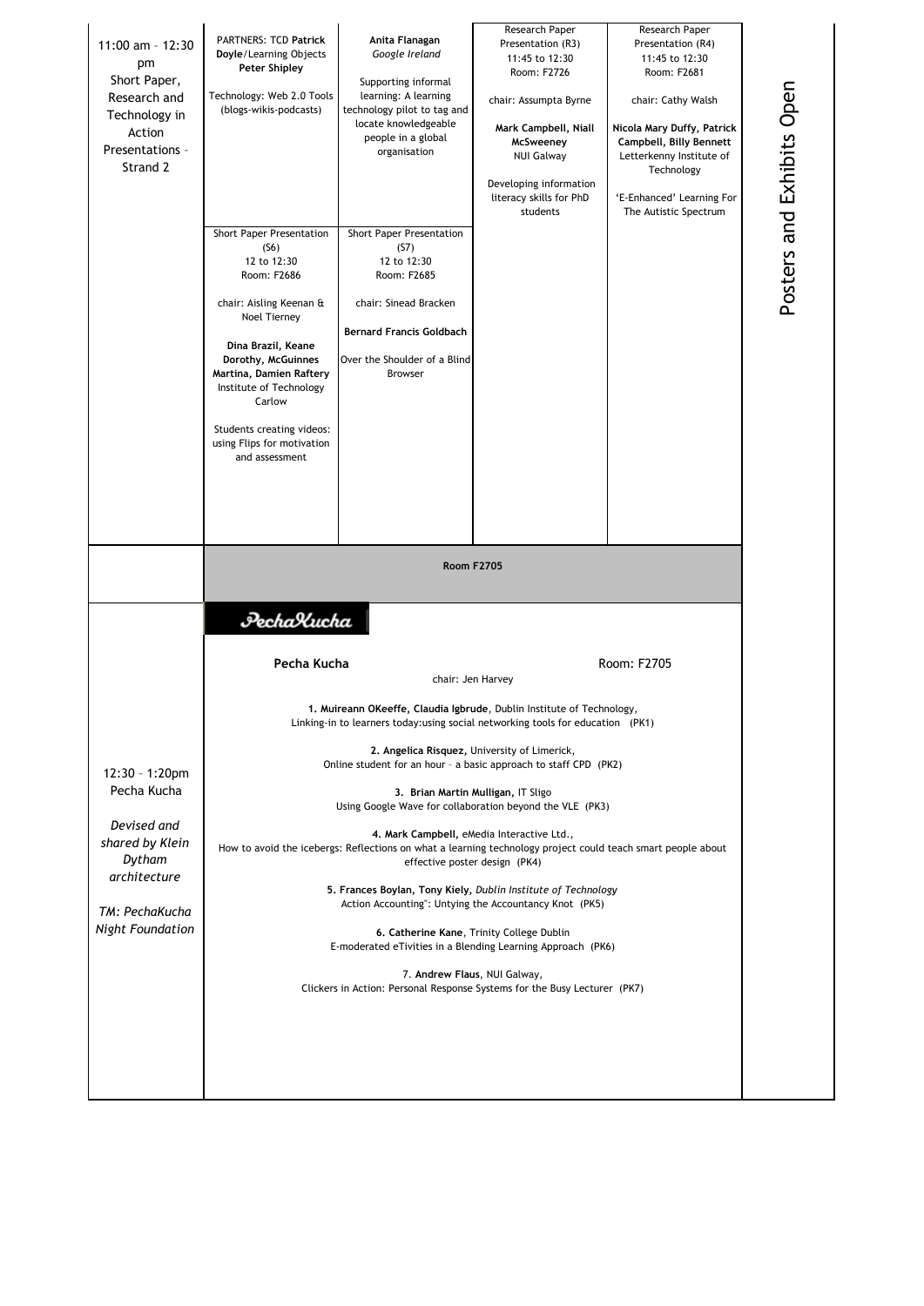| 11:00 am - 12:30<br>pm<br>Short Paper,<br>Research and<br>Technology in<br>Action<br>Presentations -<br>Strand 2                       | <b>PARTNERS: TCD Patrick</b><br>Doyle/Learning Objects<br>Peter Shipley<br>Technology: Web 2.0 Tools<br>(blogs-wikis-podcasts)<br>Short Paper Presentation<br>(S6)<br>12 to 12:30<br>Room: F2686<br>chair: Aisling Keenan &<br>Noel Tierney<br>Dina Brazil, Keane<br>Dorothy, McGuinnes<br>Martina, Damien Raftery<br>Institute of Technology<br>Carlow<br>Students creating videos:<br>using Flips for motivation<br>and assessment                                                                                                                                                                                                                                                                                                                                                                                                                                                                                                                                                              | Anita Flanagan<br>Google Ireland<br>Supporting informal<br>learning: A learning<br>technology pilot to tag and<br>locate knowledgeable<br>people in a global<br>organisation<br>Short Paper Presentation<br>(S7)<br>12 to 12:30<br>Room: F2685<br>chair: Sinead Bracken<br><b>Bernard Francis Goldbach</b><br>Over the Shoulder of a Blind<br><b>Browser</b> | Research Paper<br>Presentation (R3)<br>11:45 to 12:30<br>Room: F2726<br>chair: Assumpta Byrne<br>Mark Campbell, Niall<br>McSweeney<br><b>NUI Galway</b><br>Developing information<br>literacy skills for PhD<br>students | Research Paper<br>Presentation (R4)<br>11:45 to 12:30<br>Room: F2681<br>chair: Cathy Walsh<br>Nicola Mary Duffy, Patrick<br>Campbell, Billy Bennett<br>Letterkenny Institute of<br>Technology<br>'E-Enhanced' Learning For<br>The Autistic Spectrum |  |
|----------------------------------------------------------------------------------------------------------------------------------------|---------------------------------------------------------------------------------------------------------------------------------------------------------------------------------------------------------------------------------------------------------------------------------------------------------------------------------------------------------------------------------------------------------------------------------------------------------------------------------------------------------------------------------------------------------------------------------------------------------------------------------------------------------------------------------------------------------------------------------------------------------------------------------------------------------------------------------------------------------------------------------------------------------------------------------------------------------------------------------------------------|--------------------------------------------------------------------------------------------------------------------------------------------------------------------------------------------------------------------------------------------------------------------------------------------------------------------------------------------------------------|--------------------------------------------------------------------------------------------------------------------------------------------------------------------------------------------------------------------------|-----------------------------------------------------------------------------------------------------------------------------------------------------------------------------------------------------------------------------------------------------|--|
|                                                                                                                                        | <b>Room F2705</b>                                                                                                                                                                                                                                                                                                                                                                                                                                                                                                                                                                                                                                                                                                                                                                                                                                                                                                                                                                                 |                                                                                                                                                                                                                                                                                                                                                              |                                                                                                                                                                                                                          |                                                                                                                                                                                                                                                     |  |
| 12:30 - 1:20pm<br>Pecha Kucha<br>Devised and<br>shared by Klein<br>Dytham<br>architecture<br>TM: PechaKucha<br><b>Night Foundation</b> | PechaXucha<br>Pecha Kucha<br>Room: F2705<br>chair: Jen Harvey<br>1. Muireann OKeeffe, Claudia Igbrude, Dublin Institute of Technology,<br>Linking-in to learners today: using social networking tools for education (PK1)<br>2. Angelica Risquez, University of Limerick,<br>Online student for an hour - a basic approach to staff CPD (PK2)<br>3. Brian Martin Mulligan, IT Sligo<br>Using Google Wave for collaboration beyond the VLE (PK3)<br>4. Mark Campbell, eMedia Interactive Ltd.,<br>How to avoid the icebergs: Reflections on what a learning technology project could teach smart people about<br>effective poster design (PK4)<br>5. Frances Boylan, Tony Kiely, Dublin Institute of Technology<br>Action Accounting": Untying the Accountancy Knot (PK5)<br>6. Catherine Kane, Trinity College Dublin<br>E-moderated eTivities in a Blending Learning Approach (PK6)<br>7. Andrew Flaus, NUI Galway,<br>Clickers in Action: Personal Response Systems for the Busy Lecturer (PK7) |                                                                                                                                                                                                                                                                                                                                                              |                                                                                                                                                                                                                          |                                                                                                                                                                                                                                                     |  |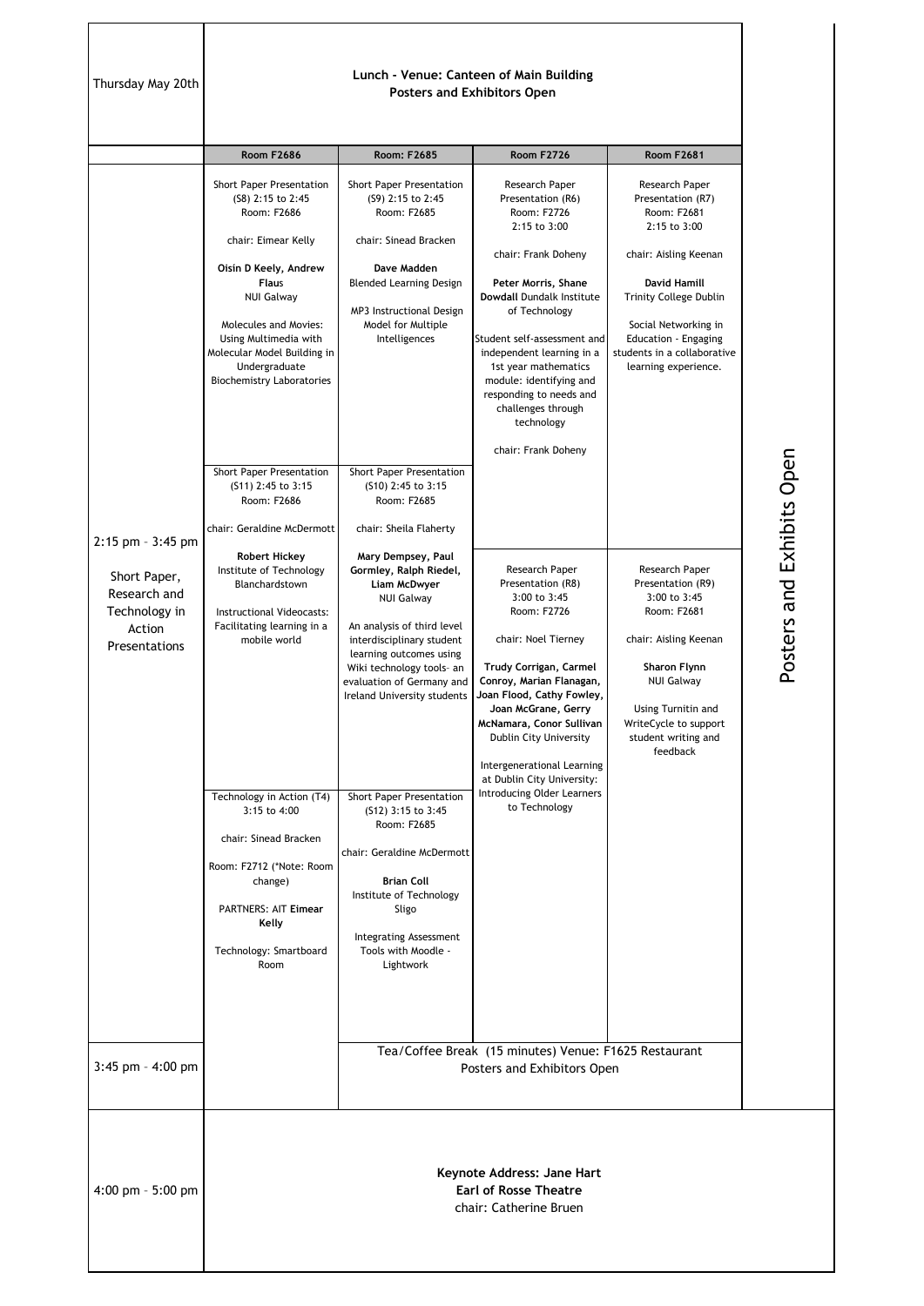Thursday May 20th

## **Lunch - Venue: Canteen of Main Building Posters and Exhibitors Open**

|                                                                                               | <b>Room F2686</b>                                                                                                                                                                                                                                                                                                                                                                                                                                                                                                                                                                                                                                                                                                                    | <b>Room: F2685</b>                                                                                                                                                                                                                                                                                                                                                                                                                                                                                                                                                                                                                                                                                                                                                                                    | <b>Room F2726</b>                                                                                                                                                                                                                                                                                                                                                                                                                                                                                                                                                                                                                                                                                                                           | <b>Room F2681</b>                                                                                                                                                                                                                                                                                                                                                                                                                                                                |
|-----------------------------------------------------------------------------------------------|--------------------------------------------------------------------------------------------------------------------------------------------------------------------------------------------------------------------------------------------------------------------------------------------------------------------------------------------------------------------------------------------------------------------------------------------------------------------------------------------------------------------------------------------------------------------------------------------------------------------------------------------------------------------------------------------------------------------------------------|-------------------------------------------------------------------------------------------------------------------------------------------------------------------------------------------------------------------------------------------------------------------------------------------------------------------------------------------------------------------------------------------------------------------------------------------------------------------------------------------------------------------------------------------------------------------------------------------------------------------------------------------------------------------------------------------------------------------------------------------------------------------------------------------------------|---------------------------------------------------------------------------------------------------------------------------------------------------------------------------------------------------------------------------------------------------------------------------------------------------------------------------------------------------------------------------------------------------------------------------------------------------------------------------------------------------------------------------------------------------------------------------------------------------------------------------------------------------------------------------------------------------------------------------------------------|----------------------------------------------------------------------------------------------------------------------------------------------------------------------------------------------------------------------------------------------------------------------------------------------------------------------------------------------------------------------------------------------------------------------------------------------------------------------------------|
| 2:15 pm - 3:45 pm<br>Short Paper,<br>Research and<br>Technology in<br>Action<br>Presentations | Short Paper Presentation<br>(S8) 2:15 to 2:45<br>Room: F2686<br>chair: Eimear Kelly<br>Oisín D Keely, Andrew<br><b>Flaus</b><br><b>NUI Galway</b><br>Molecules and Movies:<br>Using Multimedia with<br>Molecular Model Building in<br>Undergraduate<br><b>Biochemistry Laboratories</b><br><b>Short Paper Presentation</b><br>(S11) 2:45 to 3:15<br>Room: F2686<br>chair: Geraldine McDermott<br><b>Robert Hickey</b><br>Institute of Technology<br>Blanchardstown<br>Instructional Videocasts:<br>Facilitating learning in a<br>mobile world<br>Technology in Action (T4)<br>3:15 to 4:00<br>chair: Sinead Bracken<br>Room: F2712 (*Note: Room<br>change)<br><b>PARTNERS: AIT Eimear</b><br>Kelly<br>Technology: Smartboard<br>Room | Short Paper Presentation<br>(S9) 2:15 to 2:45<br>Room: F2685<br>chair: Sinead Bracken<br>Dave Madden<br><b>Blended Learning Design</b><br>MP3 Instructional Design<br>Model for Multiple<br>Intelligences<br>Short Paper Presentation<br>(S10) 2:45 to 3:15<br>Room: F2685<br>chair: Sheila Flaherty<br>Mary Dempsey, Paul<br>Gormley, Ralph Riedel,<br>Liam McDwyer<br><b>NUI Galway</b><br>An analysis of third level<br>interdisciplinary student<br>learning outcomes using<br>Wiki technology tools- an<br>evaluation of Germany and<br>Ireland University students<br>Short Paper Presentation<br>(S12) 3:15 to 3:45<br>Room: F2685<br>chair: Geraldine McDermott<br><b>Brian Coll</b><br>Institute of Technology<br>Sligo<br><b>Integrating Assessment</b><br>Tools with Moodle -<br>Lightwork | Research Paper<br>Presentation (R6)<br>Room: F2726<br>2:15 to 3:00<br>chair: Frank Doheny<br>Peter Morris, Shane<br>Dowdall Dundalk Institute<br>of Technology<br>Student self-assessment and<br>independent learning in a<br>1st year mathematics<br>module: identifying and<br>responding to needs and<br>challenges through<br>technology<br>chair: Frank Doheny<br>Research Paper<br>Presentation (R8)<br>3:00 to 3:45<br>Room: F2726<br>chair: Noel Tierney<br>Trudy Corrigan, Carmel<br>Conroy, Marian Flanagan,<br>Joan Flood, Cathy Fowley,<br>Joan McGrane, Gerry<br>McNamara, Conor Sullivan<br>Dublin City University<br>Intergenerational Learning<br>at Dublin City University:<br>Introducing Older Learners<br>to Technology | Research Paper<br>Presentation (R7)<br>Room: F2681<br>2:15 to 3:00<br>chair: Aisling Keenan<br><b>David Hamill</b><br><b>Trinity College Dublin</b><br>Social Networking in<br>Education - Engaging<br>students in a collaborative<br>learning experience.<br>Research Paper<br>Presentation (R9)<br>3:00 to 3:45<br>Room: F2681<br>chair: Aisling Keenan<br>Sharon Flynn<br><b>NUI Galway</b><br>Using Turnitin and<br>WriteCycle to support<br>student writing and<br>feedback |
| 3:45 pm - 4:00 pm                                                                             |                                                                                                                                                                                                                                                                                                                                                                                                                                                                                                                                                                                                                                                                                                                                      | Tea/Coffee Break (15 minutes) Venue: F1625 Restaurant<br>Posters and Exhibitors Open                                                                                                                                                                                                                                                                                                                                                                                                                                                                                                                                                                                                                                                                                                                  |                                                                                                                                                                                                                                                                                                                                                                                                                                                                                                                                                                                                                                                                                                                                             |                                                                                                                                                                                                                                                                                                                                                                                                                                                                                  |
| 4:00 pm - 5:00 pm                                                                             | Keynote Address: Jane Hart<br><b>Earl of Rosse Theatre</b><br>chair: Catherine Bruen                                                                                                                                                                                                                                                                                                                                                                                                                                                                                                                                                                                                                                                 |                                                                                                                                                                                                                                                                                                                                                                                                                                                                                                                                                                                                                                                                                                                                                                                                       |                                                                                                                                                                                                                                                                                                                                                                                                                                                                                                                                                                                                                                                                                                                                             |                                                                                                                                                                                                                                                                                                                                                                                                                                                                                  |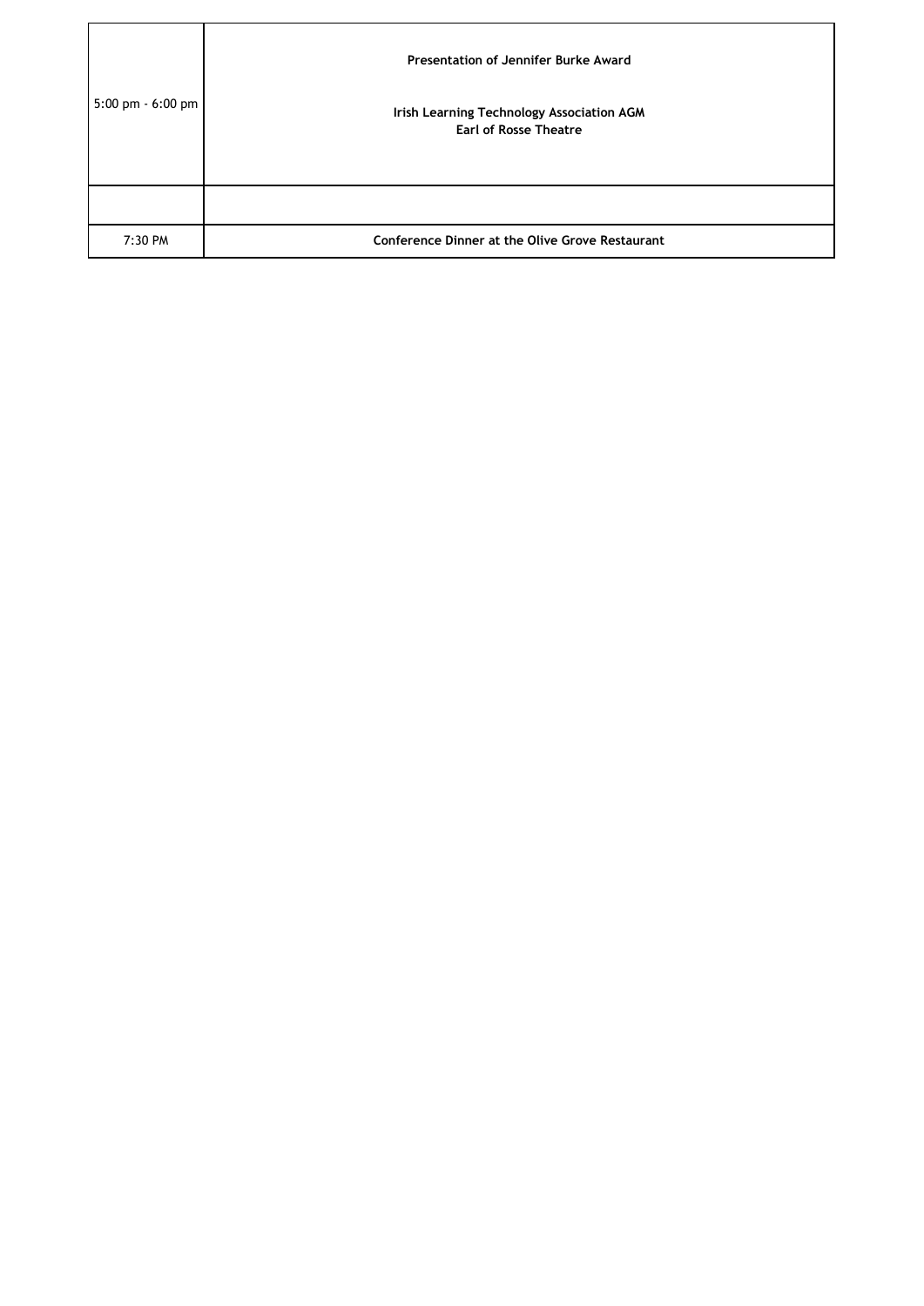| 5:00 pm - 6:00 pm | Presentation of Jennifer Burke Award<br>Irish Learning Technology Association AGM<br><b>Earl of Rosse Theatre</b> |
|-------------------|-------------------------------------------------------------------------------------------------------------------|
|                   |                                                                                                                   |
| 7:30 PM           | <b>Conference Dinner at the Olive Grove Restaurant</b>                                                            |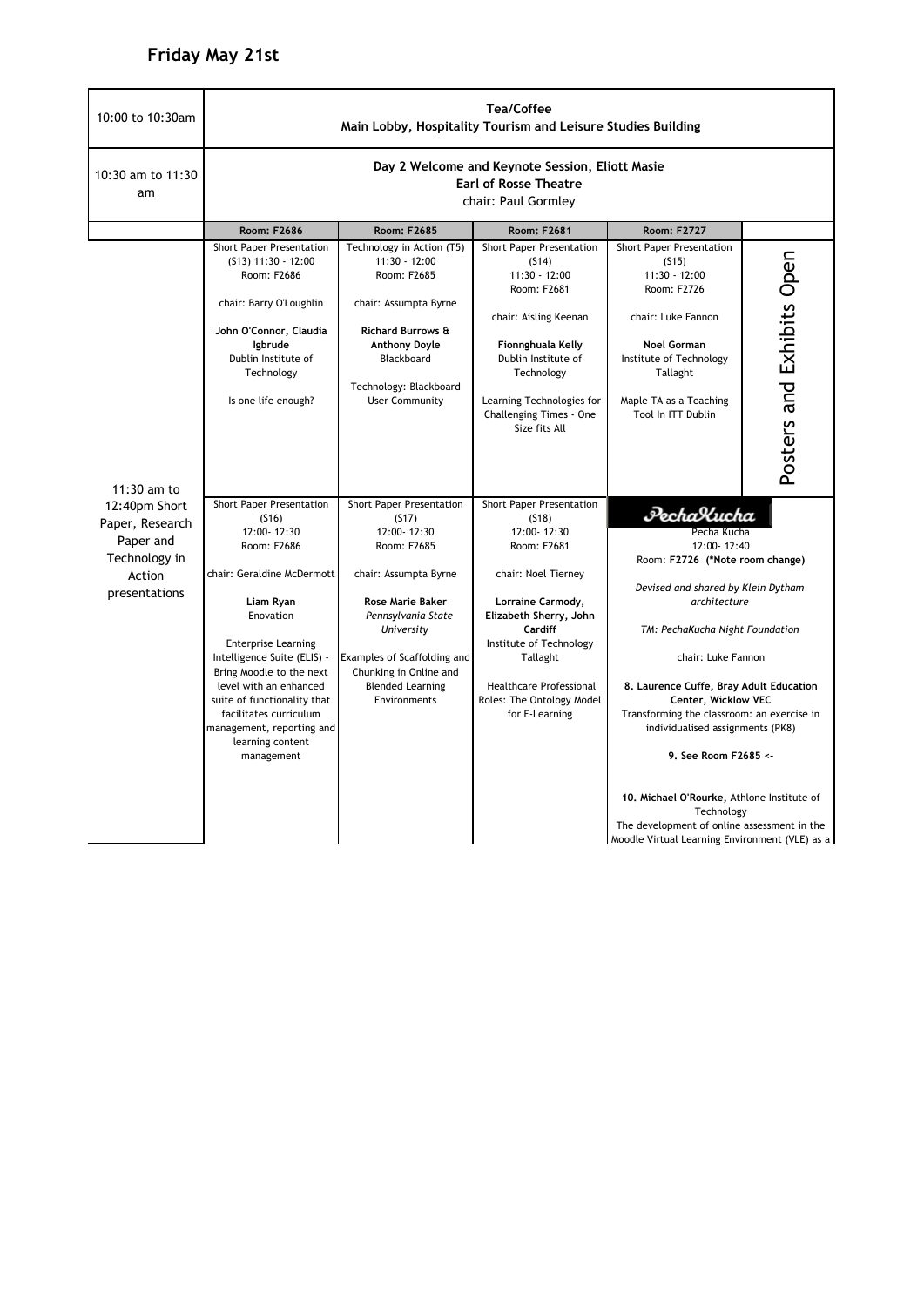## **Friday May 21st**

| 10:00 to 10:30am                                                                          | Tea/Coffee<br>Main Lobby, Hospitality Tourism and Leisure Studies Building                                                                                                                                                                                                                                                                                         |                                                                                                                                                                                                                                                             |                                                                                                                                                                                                                                                                                 |                                                                                                                                                                                                                                                                                                                                                                                                                                                                                                                                     |                           |  |
|-------------------------------------------------------------------------------------------|--------------------------------------------------------------------------------------------------------------------------------------------------------------------------------------------------------------------------------------------------------------------------------------------------------------------------------------------------------------------|-------------------------------------------------------------------------------------------------------------------------------------------------------------------------------------------------------------------------------------------------------------|---------------------------------------------------------------------------------------------------------------------------------------------------------------------------------------------------------------------------------------------------------------------------------|-------------------------------------------------------------------------------------------------------------------------------------------------------------------------------------------------------------------------------------------------------------------------------------------------------------------------------------------------------------------------------------------------------------------------------------------------------------------------------------------------------------------------------------|---------------------------|--|
| 10:30 am to 11:30<br>am                                                                   | Day 2 Welcome and Keynote Session, Eliott Masie<br><b>Earl of Rosse Theatre</b><br>chair: Paul Gormley                                                                                                                                                                                                                                                             |                                                                                                                                                                                                                                                             |                                                                                                                                                                                                                                                                                 |                                                                                                                                                                                                                                                                                                                                                                                                                                                                                                                                     |                           |  |
|                                                                                           | Room: F2686                                                                                                                                                                                                                                                                                                                                                        | <b>Room: F2685</b>                                                                                                                                                                                                                                          | Room: F2681                                                                                                                                                                                                                                                                     | <b>Room: F2727</b>                                                                                                                                                                                                                                                                                                                                                                                                                                                                                                                  |                           |  |
| $11:30$ am to                                                                             | Short Paper Presentation<br>$(513)$ 11:30 - 12:00<br>Room: F2686<br>chair: Barry O'Loughlin<br>John O'Connor, Claudia<br>lgbrude<br>Dublin Institute of<br>Technology<br>Is one life enough?                                                                                                                                                                       | Technology in Action (T5)<br>11:30 - 12:00<br>Room: F2685<br>chair: Assumpta Byrne<br><b>Richard Burrows &amp;</b><br><b>Anthony Doyle</b><br>Blackboard<br>Technology: Blackboard<br><b>User Community</b>                                                 | Short Paper Presentation<br>(514)<br>$11:30 - 12:00$<br>Room: F2681<br>chair: Aisling Keenan<br>Fionnghuala Kelly<br>Dublin Institute of<br>Technology<br>Learning Technologies for<br>Challenging Times - One<br>Size fits All                                                 | <b>Short Paper Presentation</b><br>(S15)<br>$11:30 - 12:00$<br>Room: F2726<br>chair: Luke Fannon<br><b>Noel Gorman</b><br>Institute of Technology<br>Tallaght<br>Maple TA as a Teaching<br>Tool In ITT Dublin                                                                                                                                                                                                                                                                                                                       | Posters and Exhibits Open |  |
| 12:40pm Short<br>Paper, Research<br>Paper and<br>Technology in<br>Action<br>presentations | Short Paper Presentation<br>(516)<br>12:00-12:30<br>Room: F2686<br>chair: Geraldine McDermott<br>Liam Ryan<br>Enovation<br><b>Enterprise Learning</b><br>Intelligence Suite (ELIS) -<br>Bring Moodle to the next<br>level with an enhanced<br>suite of functionality that<br>facilitates curriculum<br>management, reporting and<br>learning content<br>management | Short Paper Presentation<br>(517)<br>12:00-12:30<br>Room: F2685<br>chair: Assumpta Byrne<br><b>Rose Marie Baker</b><br>Pennsylvania State<br>University<br>Examples of Scaffolding and<br>Chunking in Online and<br><b>Blended Learning</b><br>Environments | Short Paper Presentation<br>(518)<br>12:00-12:30<br>Room: F2681<br>chair: Noel Tierney<br>Lorraine Carmody,<br>Elizabeth Sherry, John<br><b>Cardiff</b><br>Institute of Technology<br>Tallaght<br><b>Healthcare Professional</b><br>Roles: The Ontology Model<br>for E-Learning | PechaXucha<br>Pecha Kucha<br>12:00-12:40<br>Room: F2726 (*Note room change)<br>Devised and shared by Klein Dytham<br>architecture<br>TM: PechaKucha Night Foundation<br>chair: Luke Fannon<br>8. Laurence Cuffe, Bray Adult Education<br>Center, Wicklow VEC<br>Transforming the classroom: an exercise in<br>individualised assignments (PK8)<br>9. See Room F2685 <-<br>10. Michael O'Rourke, Athlone Institute of<br>Technology<br>The development of online assessment in the<br>Moodle Virtual Learning Environment (VLE) as a |                           |  |